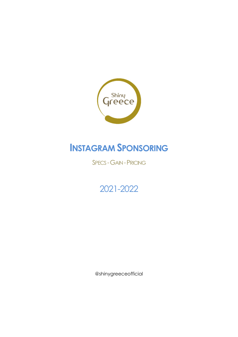

# **INSTAGRAM SPONSORING**

SPECS - GAIN - PRICING

## 2021-2022

@shinygreeceofficial